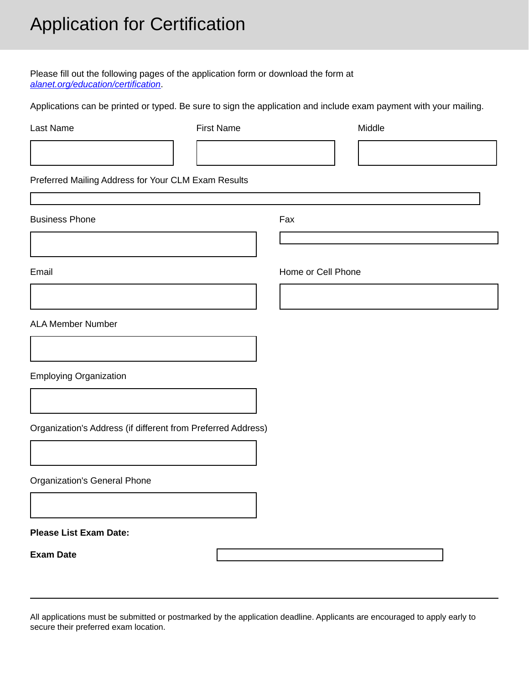# Application for Certification

Please fill out the following pages of the application form or download the form at *[alanet.org/education/certification](https://www.alanet.org/education/certification)*.

Applications can be printed or typed. Be sure to sign the application and include exam payment with your mailing.

| Last Name                                                    | <b>First Name</b> |                    | Middle |  |
|--------------------------------------------------------------|-------------------|--------------------|--------|--|
|                                                              |                   |                    |        |  |
| Preferred Mailing Address for Your CLM Exam Results          |                   |                    |        |  |
| <b>Business Phone</b>                                        |                   | Fax                |        |  |
|                                                              |                   |                    |        |  |
| Email                                                        |                   | Home or Cell Phone |        |  |
|                                                              |                   |                    |        |  |
| <b>ALA Member Number</b>                                     |                   |                    |        |  |
|                                                              |                   |                    |        |  |
| <b>Employing Organization</b>                                |                   |                    |        |  |
|                                                              |                   |                    |        |  |
| Organization's Address (if different from Preferred Address) |                   |                    |        |  |
|                                                              |                   |                    |        |  |
| Organization's General Phone                                 |                   |                    |        |  |
|                                                              |                   |                    |        |  |
| <b>Please List Exam Date:</b>                                |                   |                    |        |  |
| <b>Exam Date</b>                                             |                   |                    |        |  |

All applications must be submitted or postmarked by the application deadline. Applicants are encouraged to apply early to secure their preferred exam location.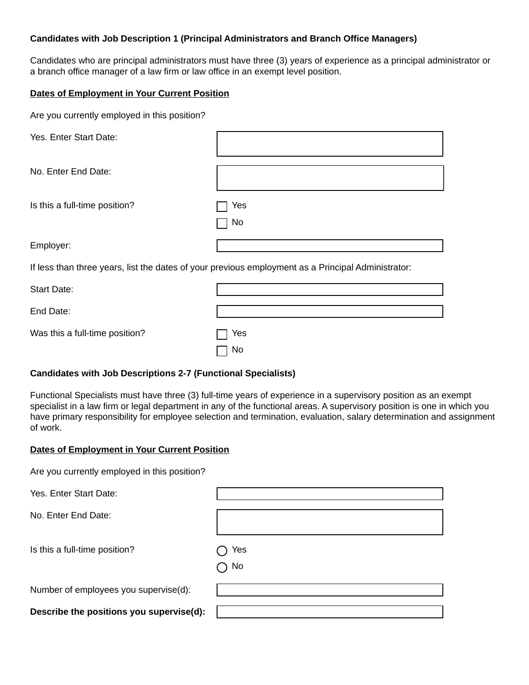### **Candidates with Job Description 1 (Principal Administrators and Branch Office Managers)**

Candidates who are principal administrators must have three (3) years of experience as a principal administrator or a branch office manager of a law firm or law office in an exempt level position.

#### **Dates of Employment in Your Current Position**

|  | Are you currently employed in this position? |  |  |  |
|--|----------------------------------------------|--|--|--|
|--|----------------------------------------------|--|--|--|

| Yes. Enter Start Date:                                                                             |            |  |  |
|----------------------------------------------------------------------------------------------------|------------|--|--|
| No. Enter End Date:                                                                                |            |  |  |
| Is this a full-time position?                                                                      | Yes<br>No. |  |  |
| Employer:                                                                                          |            |  |  |
| If less than three years, list the dates of your previous employment as a Principal Administrator: |            |  |  |
| <b>Start Date:</b>                                                                                 |            |  |  |
| End Date:                                                                                          |            |  |  |
| Was this a full-time position?                                                                     | Yes<br>No  |  |  |

## **Candidates with Job Descriptions 2-7 (Functional Specialists)**

Functional Specialists must have three (3) full-time years of experience in a supervisory position as an exempt specialist in a law firm or legal department in any of the functional areas. A supervisory position is one in which you have primary responsibility for employee selection and termination, evaluation, salary determination and assignment of work.

#### **Dates of Employment in Your Current Position**

| Are you currently employed in this position? |  |
|----------------------------------------------|--|
|----------------------------------------------|--|

Yes. Enter Start Date: No. Enter End Date: Is this a full-time position?  $\bigcap$  Yes  $\bigcap$  No Number of employees you supervise(d): **Describe the positions you supervise(d):**